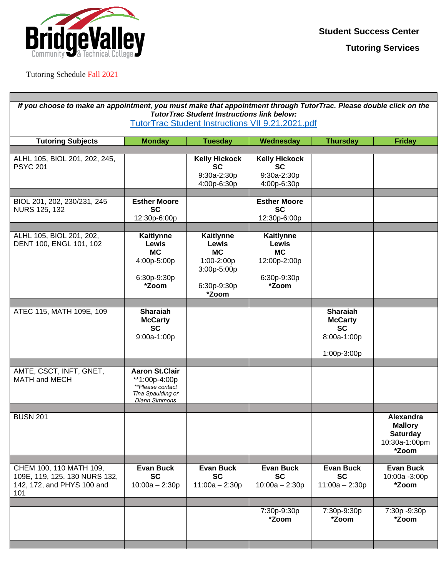

### Tutoring Schedule Fall 2021

Г

| If you choose to make an appointment, you must make that appointment through TutorTrac. Please double click on the<br><b>TutorTrac Student Instructions link below:</b><br><b>TutorTrac Student Instructions VII 9.21.2021.pdf</b> |                                                                                                  |                                                                                                    |                                                                                       |                                                                              |                                                                          |  |  |
|------------------------------------------------------------------------------------------------------------------------------------------------------------------------------------------------------------------------------------|--------------------------------------------------------------------------------------------------|----------------------------------------------------------------------------------------------------|---------------------------------------------------------------------------------------|------------------------------------------------------------------------------|--------------------------------------------------------------------------|--|--|
|                                                                                                                                                                                                                                    |                                                                                                  |                                                                                                    |                                                                                       |                                                                              |                                                                          |  |  |
| <b>Tutoring Subjects</b>                                                                                                                                                                                                           | <b>Monday</b>                                                                                    | <b>Tuesday</b>                                                                                     | Wednesday                                                                             | <b>Thursday</b>                                                              | <b>Friday</b>                                                            |  |  |
| ALHL 105, BIOL 201, 202, 245,<br><b>PSYC 201</b>                                                                                                                                                                                   |                                                                                                  | <b>Kelly Hickock</b><br><b>SC</b><br>9:30a-2:30p<br>4:00p-6:30p                                    | <b>Kelly Hickock</b><br><b>SC</b><br>9:30a-2:30p<br>4:00p-6:30p                       |                                                                              |                                                                          |  |  |
| BIOL 201, 202, 230/231, 245<br><b>NURS 125, 132</b>                                                                                                                                                                                | <b>Esther Moore</b><br><b>SC</b><br>12:30p-6:00p                                                 |                                                                                                    | <b>Esther Moore</b><br><b>SC</b><br>12:30p-6:00p                                      |                                                                              |                                                                          |  |  |
| ALHL 105, BIOL 201, 202,<br>DENT 100, ENGL 101, 102                                                                                                                                                                                | Kaitlynne<br>Lewis<br><b>MC</b><br>4:00p-5:00p<br>6:30p-9:30p<br>*Zoom                           | <b>Kaitlynne</b><br><b>Lewis</b><br><b>MC</b><br>1:00-2:00p<br>3:00p-5:00p<br>6:30p-9:30p<br>*Zoom | <b>Kaitlynne</b><br><b>Lewis</b><br><b>MC</b><br>12:00p-2:00p<br>6:30p-9:30p<br>*Zoom |                                                                              |                                                                          |  |  |
| ATEC 115, MATH 109E, 109                                                                                                                                                                                                           | <b>Sharaiah</b><br><b>McCarty</b><br><b>SC</b><br>9:00a-1:00p                                    |                                                                                                    |                                                                                       | <b>Sharaiah</b><br><b>McCarty</b><br><b>SC</b><br>8:00a-1:00p<br>1:00p-3:00p |                                                                          |  |  |
| AMTE, CSCT, INFT, GNET,<br><b>MATH and MECH</b>                                                                                                                                                                                    | <b>Aaron St.Clair</b><br>**1:00p-4:00p<br>**Please contact<br>Tina Spaulding or<br>Diann Simmons |                                                                                                    |                                                                                       |                                                                              |                                                                          |  |  |
| <b>BUSN 201</b>                                                                                                                                                                                                                    |                                                                                                  |                                                                                                    |                                                                                       |                                                                              | Alexandra<br><b>Mallory</b><br><b>Saturday</b><br>10:30a-1:00pm<br>*Zoom |  |  |
| CHEM 100, 110 MATH 109,<br>109E, 119, 125, 130 NURS 132,<br>142, 172, and PHYS 100 and<br>101                                                                                                                                      | <b>Evan Buck</b><br><b>SC</b><br>$10:00a - 2:30p$                                                | <b>Evan Buck</b><br><b>SC</b><br>$11:00a - 2:30p$                                                  | <b>Evan Buck</b><br><b>SC</b><br>$10:00a - 2:30p$                                     | <b>Evan Buck</b><br><b>SC</b><br>$11:00a - 2:30p$                            | <b>Evan Buck</b><br>10:00a -3:00p<br>*Zoom                               |  |  |
|                                                                                                                                                                                                                                    |                                                                                                  |                                                                                                    | 7:30p-9:30p<br>*Zoom                                                                  | 7:30p-9:30p<br>*Zoom                                                         | 7:30p -9:30p<br>*Zoom                                                    |  |  |
|                                                                                                                                                                                                                                    |                                                                                                  |                                                                                                    |                                                                                       |                                                                              |                                                                          |  |  |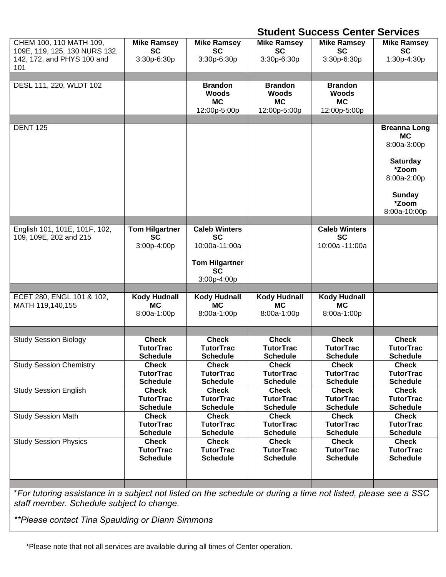# **Student Success Center Services**

| CHEM 100, 110 MATH 109,<br>109E, 119, 125, 130 NURS 132,<br>142, 172, and PHYS 100 and<br>101 | <b>Mike Ramsey</b><br><b>SC</b><br>3:30p-6:30p    | <b>Mike Ramsey</b><br><b>SC</b><br>3:30p-6:30p                                                          | <b>Mike Ramsey</b><br><b>SC</b><br>3:30p-6:30p              | <b>Mike Ramsey</b><br><b>SC</b><br>3:30p-6:30p       | <b>Mike Ramsey</b><br><b>SC</b><br>1:30p-4:30p                                                                                       |
|-----------------------------------------------------------------------------------------------|---------------------------------------------------|---------------------------------------------------------------------------------------------------------|-------------------------------------------------------------|------------------------------------------------------|--------------------------------------------------------------------------------------------------------------------------------------|
| DESL 111, 220, WLDT 102                                                                       |                                                   | <b>Brandon</b><br><b>Woods</b><br><b>MC</b><br>12:00p-5:00p                                             | <b>Brandon</b><br><b>Woods</b><br><b>MC</b><br>12:00p-5:00p | <b>Brandon</b><br><b>Woods</b><br>МC<br>12:00p-5:00p |                                                                                                                                      |
| <b>DENT 125</b>                                                                               |                                                   |                                                                                                         |                                                             |                                                      | <b>Breanna Long</b><br><b>MC</b><br>8:00a-3:00p<br><b>Saturday</b><br>*Zoom<br>8:00a-2:00p<br><b>Sunday</b><br>*Zoom<br>8:00a-10:00p |
| English 101, 101E, 101F, 102,<br>109, 109E, 202 and 215                                       | <b>Tom Hilgartner</b><br><b>SC</b><br>3:00p-4:00p | <b>Caleb Winters</b><br><b>SC</b><br>10:00a-11:00a<br><b>Tom Hilgartner</b><br><b>SC</b><br>3:00p-4:00p |                                                             | <b>Caleb Winters</b><br><b>SC</b><br>10:00a -11:00a  |                                                                                                                                      |
| ECET 280, ENGL 101 & 102,<br>MATH 119,140,155                                                 | <b>Kody Hudnall</b><br><b>MC</b><br>8:00a-1:00p   | <b>Kody Hudnall</b><br>МC<br>8:00a-1:00p                                                                | <b>Kody Hudnall</b><br>МC<br>8:00a-1:00p                    | <b>Kody Hudnall</b><br><b>MC</b><br>8:00a-1:00p      |                                                                                                                                      |
| <b>Study Session Biology</b>                                                                  | <b>Check</b>                                      | <b>Check</b>                                                                                            | <b>Check</b>                                                | <b>Check</b>                                         | <b>Check</b>                                                                                                                         |
|                                                                                               | <b>TutorTrac</b>                                  | <b>TutorTrac</b>                                                                                        | <b>TutorTrac</b>                                            | <b>TutorTrac</b>                                     | <b>TutorTrac</b>                                                                                                                     |
|                                                                                               | <b>Schedule</b>                                   | <b>Schedule</b>                                                                                         | <b>Schedule</b>                                             | <b>Schedule</b>                                      | <b>Schedule</b>                                                                                                                      |
| <b>Study Session Chemistry</b>                                                                | <b>Check</b>                                      | <b>Check</b>                                                                                            | <b>Check</b>                                                | <b>Check</b>                                         | <b>Check</b>                                                                                                                         |
|                                                                                               | <b>TutorTrac</b>                                  | <b>TutorTrac</b>                                                                                        | <b>TutorTrac</b>                                            | <b>TutorTrac</b>                                     | <b>TutorTrac</b>                                                                                                                     |
|                                                                                               | <b>Schedule</b>                                   | <b>Schedule</b>                                                                                         | <b>Schedule</b>                                             | <b>Schedule</b>                                      | <b>Schedule</b>                                                                                                                      |
| <b>Study Session English</b>                                                                  | <b>Check</b>                                      | <b>Check</b>                                                                                            | <b>Check</b>                                                | <b>Check</b>                                         | <b>Check</b>                                                                                                                         |
|                                                                                               | <b>TutorTrac</b>                                  | <b>TutorTrac</b>                                                                                        | <b>TutorTrac</b>                                            | <b>TutorTrac</b>                                     | <b>TutorTrac</b>                                                                                                                     |
|                                                                                               | <b>Schedule</b>                                   | <b>Schedule</b>                                                                                         | <b>Schedule</b>                                             | <b>Schedule</b>                                      | <b>Schedule</b>                                                                                                                      |
| <b>Study Session Math</b>                                                                     | <b>Check</b>                                      | <b>Check</b>                                                                                            | <b>Check</b>                                                | <b>Check</b>                                         | <b>Check</b>                                                                                                                         |
|                                                                                               | <b>TutorTrac</b>                                  | <b>TutorTrac</b>                                                                                        | <b>TutorTrac</b>                                            | <b>TutorTrac</b>                                     | <b>TutorTrac</b>                                                                                                                     |
|                                                                                               | <b>Schedule</b>                                   | <b>Schedule</b>                                                                                         | <b>Schedule</b>                                             | <b>Schedule</b>                                      | <b>Schedule</b>                                                                                                                      |
| <b>Study Session Physics</b>                                                                  | <b>Check</b>                                      | <b>Check</b>                                                                                            | <b>Check</b>                                                | <b>Check</b>                                         | <b>Check</b>                                                                                                                         |
|                                                                                               | <b>TutorTrac</b>                                  | <b>TutorTrac</b>                                                                                        | <b>TutorTrac</b>                                            | <b>TutorTrac</b>                                     | <b>TutorTrac</b>                                                                                                                     |
|                                                                                               | <b>Schedule</b>                                   | <b>Schedule</b>                                                                                         | <b>Schedule</b>                                             | <b>Schedule</b>                                      | <b>Schedule</b>                                                                                                                      |

\**For tutoring assistance in a subject not listed on the schedule or during a time not listed, please see a SSC staff member. Schedule subject to change.*

*\*\*Please contact Tina Spaulding or Diann Simmons*

\*Please note that not all services are available during all times of Center operation.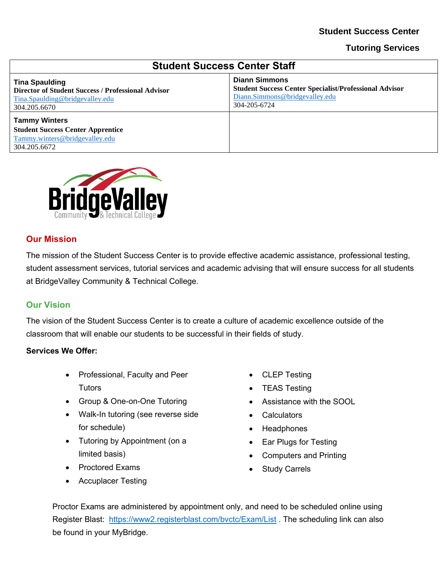### **Student Success Center**

#### **Tutoring Services**

| <b>Student Success Center Staff</b>                                                                                                   |                                                                                                                                         |  |  |  |
|---------------------------------------------------------------------------------------------------------------------------------------|-----------------------------------------------------------------------------------------------------------------------------------------|--|--|--|
| <b>Tina Spaulding</b><br><b>Director of Student Success / Professional Advisor</b><br>Tina.Spaulding@bridgevalley.edu<br>304.205.6670 | <b>Diann Simmons</b><br><b>Student Success Center Specialist/Professional Advisor</b><br>Diann.Simmons@bridgevalley.edu<br>304-205-6724 |  |  |  |
| <b>Tammy Winters</b><br><b>Student Success Center Apprentice</b><br>Tammy.winters@bridgevalley.edu<br>304.205.6672                    |                                                                                                                                         |  |  |  |



### **Our Mission**

The mission of the Student Success Center is to provide effective academic assistance, professional testing, student assessment services, tutorial services and academic advising that will ensure success for all students at BridgeValley Community & Technical College.

#### **Our Vision**

The vision of the Student Success Center is to create a culture of academic excellence outside of the classroom that will enable our students to be successful in their fields of study.

#### **Services We Offer:**

- Professional, Faculty and Peer **Tutors**
- Group & One-on-One Tutoring
- Walk-In tutoring (see reverse side for schedule)
- Tutoring by Appointment (on a limited basis)
- Proctored Exams
- Accuplacer Testing
- CLEP Testing
- TEAS Testing
- Assistance with the SOOL
- Calculators
- Headphones
- Ear Plugs for Testing
- Computers and Printing
- **Study Carrels**

Proctor Exams are administered by appointment only, and need to be scheduled online using Register Blast: <https://www2.registerblast.com/bvctc/Exam/List> . The scheduling link can also be found in your MyBridge.